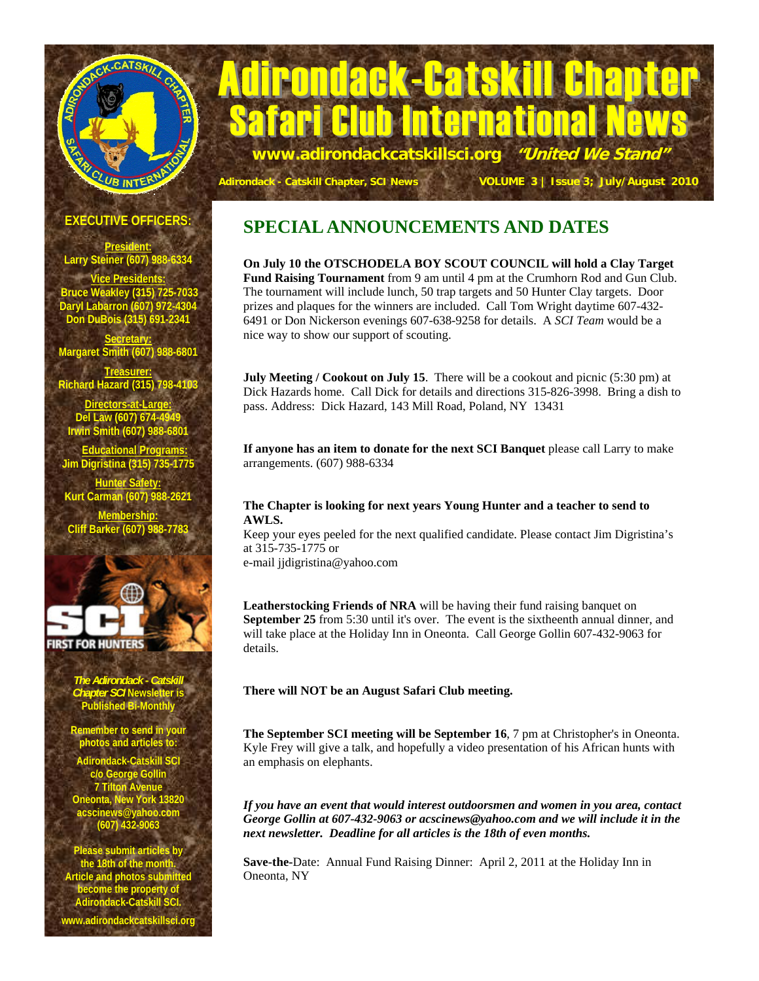# Adirondack-Catskill Char **www.adirondackcatskillsci.org "United We Stand"**  LUB INTER

# **Adirondack - Catskill Chapter, SCI News VOLUME 3 | Issue 3; July/August 2010**

<mark>Internationa</mark>

#### **EXECUTIVE OFFICERS:**

**President: Larry Steiner (607) 988-6334** 

**ice Presiden Bruce Weakley (315) 725-7033 Daryl Labarron (607) 972-4304 Don DuBois (315) 691-2341** 

**Secretary: Margaret Smith (607) 988-680** 

**Treasurer: Richard Hazard (315) 798-4103 Directors-at-Large:** Del Law (607) 674-49

**Irwin Smith (607) 988** 

 **Educational Programs: Jim Digristina (315) 735-1775** 

**Hunter Safety: arman (607) 98** 

**Membership: arker (607) 98** 



*The Adirondack - Catskill Chapter SCI* **Newsletter is Published Bi-Monthly** 

**Remember to send in y photos and articles to:** 

.<br>Adirondack-Catskill SC **c/o George Gollin 7 Tilton Avenue Oneonta, New York 13820 acscinews@yahoo.com (607) 432-9063** 

**Please submit articles by the 18th of the month. Article and photos submitted become the property of Adirondack-Catskill SCI.** 

**www.adirondackcatskillsci.org** 

# **SPECIAL ANNOUNCEMENTS AND DATES**

**On July 10 the OTSCHODELA BOY SCOUT COUNCIL will hold a Clay Target Fund Raising Tournament** from 9 am until 4 pm at the Crumhorn Rod and Gun Club. The tournament will include lunch, 50 trap targets and 50 Hunter Clay targets. Door prizes and plaques for the winners are included. Call Tom Wright daytime 607-432- 6491 or Don Nickerson evenings 607-638-9258 for details. A *SCI Team* would be a nice way to show our support of scouting.

**July Meeting / Cookout on July 15.** There will be a cookout and picnic (5:30 pm) at Dick Hazards home. Call Dick for details and directions 315-826-3998. Bring a dish to pass. Address: Dick Hazard, 143 Mill Road, Poland, NY 13431

**If anyone has an item to donate for the next SCI Banquet** please call Larry to make arrangements. (607) 988-6334

#### **The Chapter is looking for next years Young Hunter and a teacher to send to AWLS.**

Keep your eyes peeled for the next qualified candidate. Please contact Jim Digristina's at 315-735-1775 or

e-mail jjdigristina@yahoo.com

**Leatherstocking Friends of NRA** will be having their fund raising banquet on **September 25** from 5:30 until it's over. The event is the sixtheenth annual dinner, and will take place at the Holiday Inn in Oneonta. Call George Gollin 607-432-9063 for details.

#### **There will NOT be an August Safari Club meeting.**

**The September SCI meeting will be September 16**, 7 pm at Christopher's in Oneonta. Kyle Frey will give a talk, and hopefully a video presentation of his African hunts with an emphasis on elephants.

*If you have an event that would interest outdoorsmen and women in you area, contact George Gollin at 607-432-9063 or acscinews@yahoo.com and we will include it in the next newsletter. Deadline for all articles is the 18th of even months.* 

**Save-the-**Date: Annual Fund Raising Dinner: April 2, 2011 at the Holiday Inn in Oneonta, NY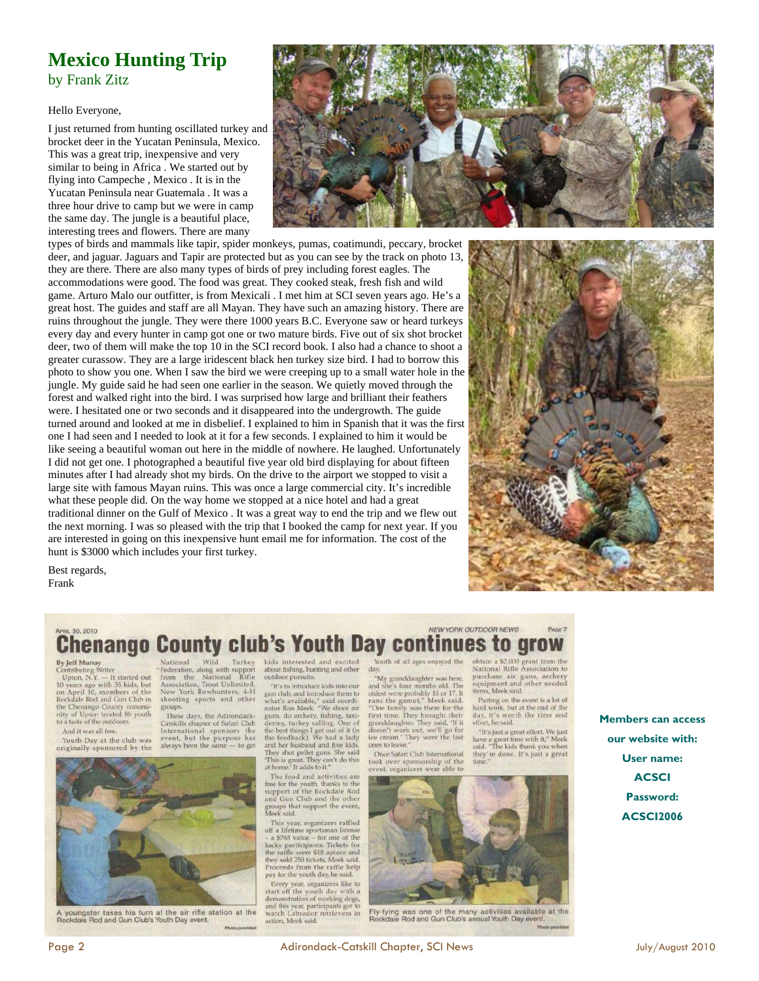### **Mexico Hunting Trip**  by Frank Zitz

#### Hello Everyone,

I just returned from hunting oscillated turkey and brocket deer in the Yucatan Peninsula, Mexico. This was a great trip, inexpensive and very similar to being in Africa . We started out by flying into Campeche , Mexico . It is in the Yucatan Peninsula near Guatemala . It was a three hour drive to camp but we were in camp the same day. The jungle is a beautiful place, interesting trees and flowers. There are many



types of birds and mammals like tapir, spider monkeys, pumas, coatimundi, peccary, brocket deer, and jaguar. Jaguars and Tapir are protected but as you can see by the track on photo 13, they are there. There are also many types of birds of prey including forest eagles. The accommodations were good. The food was great. They cooked steak, fresh fish and wild game. Arturo Malo our outfitter, is from Mexicali . I met him at SCI seven years ago. He's a great host. The guides and staff are all Mayan. They have such an amazing history. There are ruins throughout the jungle. They were there 1000 years B.C. Everyone saw or heard turkeys every day and every hunter in camp got one or two mature birds. Five out of six shot brocket deer, two of them will make the top 10 in the SCI record book. I also had a chance to shoot a greater curassow. They are a large iridescent black hen turkey size bird. I had to borrow this photo to show you one. When I saw the bird we were creeping up to a small water hole in the jungle. My guide said he had seen one earlier in the season. We quietly moved through the forest and walked right into the bird. I was surprised how large and brilliant their feathers were. I hesitated one or two seconds and it disappeared into the undergrowth. The guide turned around and looked at me in disbelief. I explained to him in Spanish that it was the first one I had seen and I needed to look at it for a few seconds. I explained to him it would be like seeing a beautiful woman out here in the middle of nowhere. He laughed. Unfortunately I did not get one. I photographed a beautiful five year old bird displaying for about fifteen minutes after I had already shot my birds. On the drive to the airport we stopped to visit a large site with famous Mayan ruins. This was once a large commercial city. It's incredible what these people did. On the way home we stopped at a nice hotel and had a great traditional dinner on the Gulf of Mexico . It was a great way to end the trip and we flew out the next morning. I was so pleased with the trip that I booked the camp for next year. If you are interested in going on this inexpensive hunt email me for information. The cost of the hunt is \$3000 which includes your first turkey.

Best regards, Frank



#### **NEW YORK OUTDOOR NEWS Chenango County club's Youth Day continues to grow** obtain a \$2,000 grant from the<br>National Rifle Association to

#### **By Jeff Murray**

30.2010

**By Jeff Murray**<br>Contributing Writer<br>Upton, N.Y. — It started out<br>10 years ago with 35 kids, but<br>on April 10, members of the<br>Rockdale Rod and Gun Cub in the Chenango County community of Upton treated 86 youth<br>to a taste of the outdoors. And it was all free.

Youth Day at the club was originally sponsored by the National Wild Turkey<br>Federation, along with support<br>from the National Rifle<br>Association, Trout Unlimited,<br>New York Bowhunters, 4-H shooting sports and other groups.

These days, the Adirondack-<br>Catskills chapter of Safari Club<br>International sponsors the<br>event, but the purpose has<br>always been the same — to get



youngster takes his turn at the air rifle station at the Rockdale Rod and Gun Club's Youth Day event

kids interested and excited about fishing, hunting and other<br>outdoor pursuits.

"It's to introduce kids into our gun club, and introduce them to<br>what's available," said coordinator Ron Meek. "We shoot air nature and interest. We show an<br>dermy, turkey calling. One of<br>the best things I get out of it (is<br>the feedback). We had a lady and her husband and five kids.<br>They shot pellet guns. She said<br>This is great. They can't do this<br>at home.' It adds to it."

The food and activities are free for the youth, thanks to the<br>support of the Rockdale Rod<br>and Gun Club and the other groups that support the event,<br>Meek said.

This year, organizers raffled<br>off a lifetime sportsman license<br>- a \$765 value – for one of the lucky participants. Tickets for<br>the raffle were \$10 apiece and<br>they sold 250 tickets, Meek said.<br>Proceeds from the raffle help pay for the youth day, he said. Every year, organizers like to<br>
Every year, organizers like to<br>
start off the youth day with a<br>
demonstration of working dogs,<br>
and this year, participants got to<br>
watch Labrador retrievers in action. Meek said.

Youth of all ages enjoyed the day.

"My granddaughter was here, Asy grandcaugner was nete,<br>and she's four months old. The<br>oldest were probably 16 or 17. It<br>runs the gamut," Meek said.<br>Tone family was there for the<br>fitst time. They brought their<br>granddaughter. They said, 'If it<br>it doesn ice cream.' They were the last

ones to leave. Once Safari Club International took over sponsorship of the<br>event, organizers were able to



Fly-tying was one of the many activities available at the<br>Rockdale Rod and Gun Club's annual Youth Day event.

purchase air guns, archery<br>equipment and other needed<br>items, Meek said. Putting on the event is a lot of hard work, but at the end of the day, it's worth the time and<br>effort, he said. **Members can access**   $^{\prime\prime}{\rm H}^{\prime}{\rm s}$  just a great effort. We just have a great time with it," Meek said. "The kids thank you when

they're done. It's just a great

PAGE 7

**our website with: User name: ACSCI Password: ACSCI2006**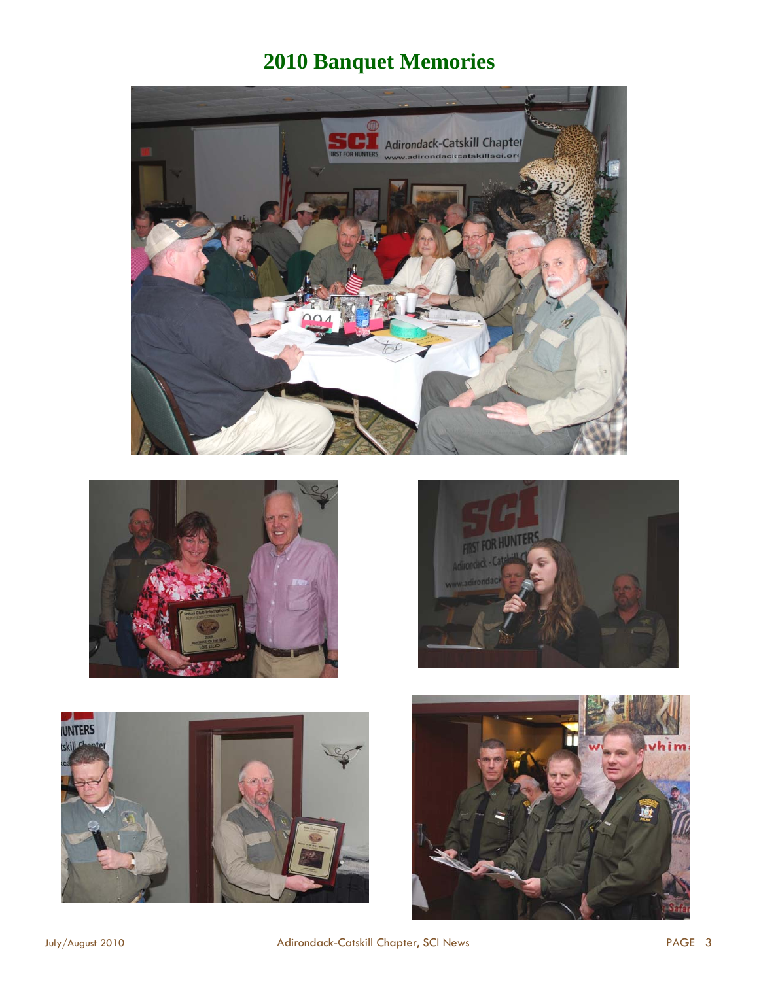# **2010 Banquet Memories**









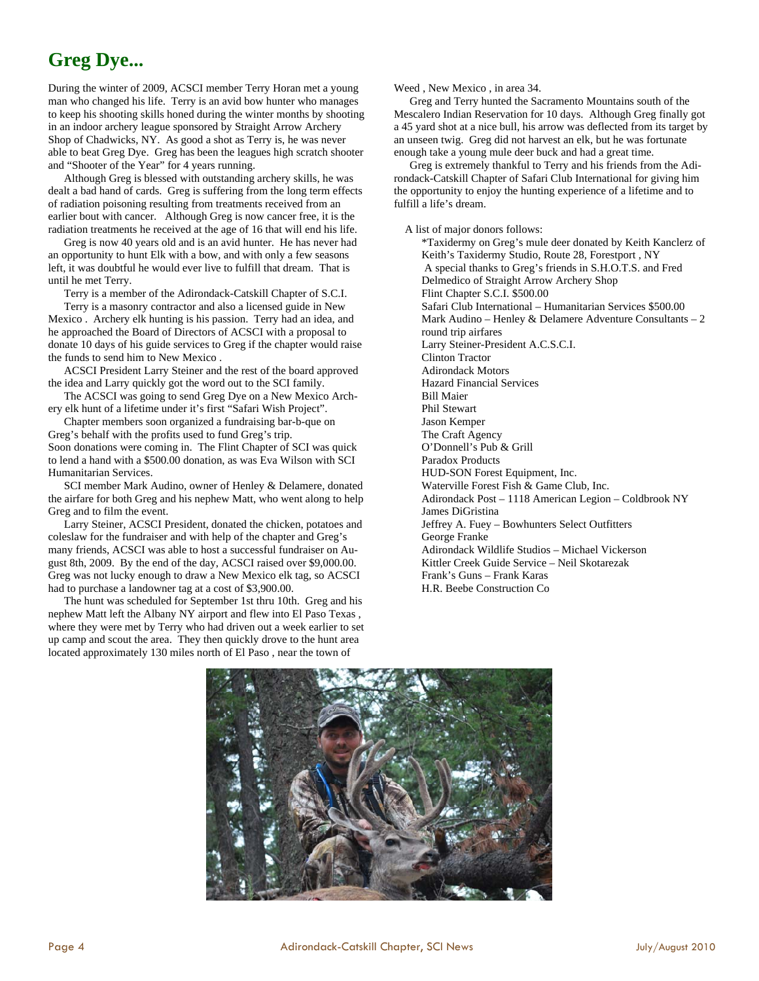# **Greg Dye...**

During the winter of 2009, ACSCI member Terry Horan met a young man who changed his life. Terry is an avid bow hunter who manages to keep his shooting skills honed during the winter months by shooting in an indoor archery league sponsored by Straight Arrow Archery Shop of Chadwicks, NY. As good a shot as Terry is, he was never able to beat Greg Dye. Greg has been the leagues high scratch shooter and "Shooter of the Year" for 4 years running.

 Although Greg is blessed with outstanding archery skills, he was dealt a bad hand of cards. Greg is suffering from the long term effects of radiation poisoning resulting from treatments received from an earlier bout with cancer. Although Greg is now cancer free, it is the radiation treatments he received at the age of 16 that will end his life.

 Greg is now 40 years old and is an avid hunter. He has never had an opportunity to hunt Elk with a bow, and with only a few seasons left, it was doubtful he would ever live to fulfill that dream. That is until he met Terry.

Terry is a member of the Adirondack-Catskill Chapter of S.C.I.

 Terry is a masonry contractor and also a licensed guide in New Mexico . Archery elk hunting is his passion. Terry had an idea, and he approached the Board of Directors of ACSCI with a proposal to donate 10 days of his guide services to Greg if the chapter would raise the funds to send him to New Mexico .

 ACSCI President Larry Steiner and the rest of the board approved the idea and Larry quickly got the word out to the SCI family.

 The ACSCI was going to send Greg Dye on a New Mexico Archery elk hunt of a lifetime under it's first "Safari Wish Project".

 Chapter members soon organized a fundraising bar-b-que on Greg's behalf with the profits used to fund Greg's trip. Soon donations were coming in. The Flint Chapter of SCI was quick to lend a hand with a \$500.00 donation, as was Eva Wilson with SCI Humanitarian Services.

 SCI member Mark Audino, owner of Henley & Delamere, donated the airfare for both Greg and his nephew Matt, who went along to help Greg and to film the event.

 Larry Steiner, ACSCI President, donated the chicken, potatoes and coleslaw for the fundraiser and with help of the chapter and Greg's many friends, ACSCI was able to host a successful fundraiser on August 8th, 2009. By the end of the day, ACSCI raised over \$9,000.00. Greg was not lucky enough to draw a New Mexico elk tag, so ACSCI had to purchase a landowner tag at a cost of \$3,900.00.

 The hunt was scheduled for September 1st thru 10th. Greg and his nephew Matt left the Albany NY airport and flew into El Paso Texas , where they were met by Terry who had driven out a week earlier to set up camp and scout the area. They then quickly drove to the hunt area located approximately 130 miles north of El Paso , near the town of

Weed , New Mexico , in area 34.

 Greg and Terry hunted the Sacramento Mountains south of the Mescalero Indian Reservation for 10 days. Although Greg finally got a 45 yard shot at a nice bull, his arrow was deflected from its target by an unseen twig. Greg did not harvest an elk, but he was fortunate enough take a young mule deer buck and had a great time.

 Greg is extremely thankful to Terry and his friends from the Adirondack-Catskill Chapter of Safari Club International for giving him the opportunity to enjoy the hunting experience of a lifetime and to fulfill a life's dream.

A list of major donors follows:

\*Taxidermy on Greg's mule deer donated by Keith Kanclerz of Keith's Taxidermy Studio, Route 28, Forestport , NY A special thanks to Greg's friends in S.H.O.T.S. and Fred Delmedico of Straight Arrow Archery Shop Flint Chapter S.C.I. \$500.00 Safari Club International – Humanitarian Services \$500.00 Mark Audino – Henley & Delamere Adventure Consultants – 2 round trip airfares Larry Steiner-President A.C.S.C.I. Clinton Tractor Adirondack Motors Hazard Financial Services Bill Maier Phil Stewart Jason Kemper The Craft Agency O'Donnell's Pub & Grill Paradox Products HUD-SON Forest Equipment, Inc. Waterville Forest Fish & Game Club, Inc. Adirondack Post – 1118 American Legion – Coldbrook NY James DiGristina Jeffrey A. Fuey – Bowhunters Select Outfitters George Franke Adirondack Wildlife Studios – Michael Vickerson Kittler Creek Guide Service – Neil Skotarezak Frank's Guns – Frank Karas H.R. Beebe Construction Co

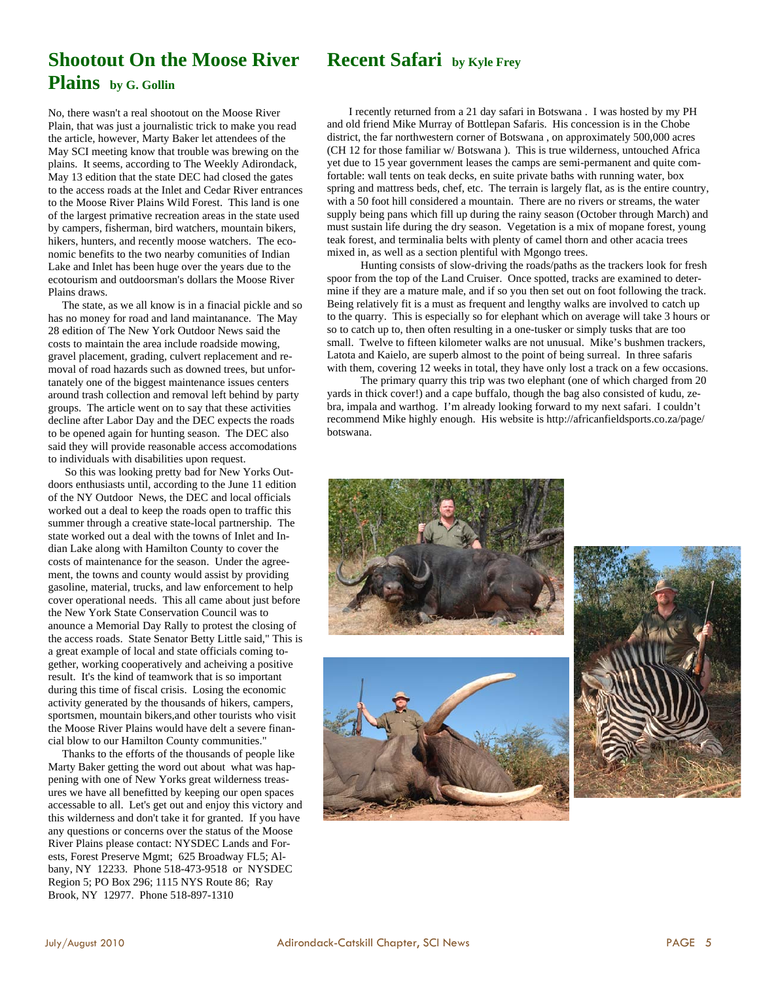### **Recent Safari by Kyle Frey**

# **Shootout On the Moose River Plains by G. Gollin**

No, there wasn't a real shootout on the Moose River Plain, that was just a journalistic trick to make you read the article, however, Marty Baker let attendees of the May SCI meeting know that trouble was brewing on the plains. It seems, according to The Weekly Adirondack, May 13 edition that the state DEC had closed the gates to the access roads at the Inlet and Cedar River entrances to the Moose River Plains Wild Forest. This land is one of the largest primative recreation areas in the state used by campers, fisherman, bird watchers, mountain bikers, hikers, hunters, and recently moose watchers. The economic benefits to the two nearby comunities of Indian Lake and Inlet has been huge over the years due to the ecotourism and outdoorsman's dollars the Moose River Plains draws.

 The state, as we all know is in a finacial pickle and so has no money for road and land maintanance. The May 28 edition of The New York Outdoor News said the costs to maintain the area include roadside mowing, gravel placement, grading, culvert replacement and removal of road hazards such as downed trees, but unfortanately one of the biggest maintenance issues centers around trash collection and removal left behind by party groups. The article went on to say that these activities decline after Labor Day and the DEC expects the roads to be opened again for hunting season. The DEC also said they will provide reasonable access accomodations to individuals with disabilities upon request.

 So this was looking pretty bad for New Yorks Outdoors enthusiasts until, according to the June 11 edition of the NY Outdoor News, the DEC and local officials worked out a deal to keep the roads open to traffic this summer through a creative state-local partnership. The state worked out a deal with the towns of Inlet and Indian Lake along with Hamilton County to cover the costs of maintenance for the season. Under the agreement, the towns and county would assist by providing gasoline, material, trucks, and law enforcement to help cover operational needs. This all came about just before the New York State Conservation Council was to anounce a Memorial Day Rally to protest the closing of the access roads. State Senator Betty Little said," This is a great example of local and state officials coming together, working cooperatively and acheiving a positive result. It's the kind of teamwork that is so important during this time of fiscal crisis. Losing the economic activity generated by the thousands of hikers, campers, sportsmen, mountain bikers,and other tourists who visit the Moose River Plains would have delt a severe financial blow to our Hamilton County communities."

 Thanks to the efforts of the thousands of people like Marty Baker getting the word out about what was happening with one of New Yorks great wilderness treasures we have all benefitted by keeping our open spaces accessable to all. Let's get out and enjoy this victory and this wilderness and don't take it for granted. If you have any questions or concerns over the status of the Moose River Plains please contact: NYSDEC Lands and Forests, Forest Preserve Mgmt; 625 Broadway FL5; Albany, NY 12233. Phone 518-473-9518 or NYSDEC Region 5; PO Box 296; 1115 NYS Route 86; Ray Brook, NY 12977. Phone 518-897-1310

 I recently returned from a 21 day safari in Botswana . I was hosted by my PH and old friend Mike Murray of Bottlepan Safaris. His concession is in the Chobe district, the far northwestern corner of Botswana , on approximately 500,000 acres (CH 12 for those familiar w/ Botswana ). This is true wilderness, untouched Africa yet due to 15 year government leases the camps are semi-permanent and quite comfortable: wall tents on teak decks, en suite private baths with running water, box spring and mattress beds, chef, etc. The terrain is largely flat, as is the entire country, with a 50 foot hill considered a mountain. There are no rivers or streams, the water supply being pans which fill up during the rainy season (October through March) and must sustain life during the dry season. Vegetation is a mix of mopane forest, young teak forest, and terminalia belts with plenty of camel thorn and other acacia trees mixed in, as well as a section plentiful with Mgongo trees.

 Hunting consists of slow-driving the roads/paths as the trackers look for fresh spoor from the top of the Land Cruiser. Once spotted, tracks are examined to determine if they are a mature male, and if so you then set out on foot following the track. Being relatively fit is a must as frequent and lengthy walks are involved to catch up to the quarry. This is especially so for elephant which on average will take 3 hours or so to catch up to, then often resulting in a one-tusker or simply tusks that are too small. Twelve to fifteen kilometer walks are not unusual. Mike's bushmen trackers, Latota and Kaielo, are superb almost to the point of being surreal. In three safaris with them, covering 12 weeks in total, they have only lost a track on a few occasions.

 The primary quarry this trip was two elephant (one of which charged from 20 yards in thick cover!) and a cape buffalo, though the bag also consisted of kudu, zebra, impala and warthog. I'm already looking forward to my next safari. I couldn't recommend Mike highly enough. His website is http://africanfieldsports.co.za/page/ botswana.



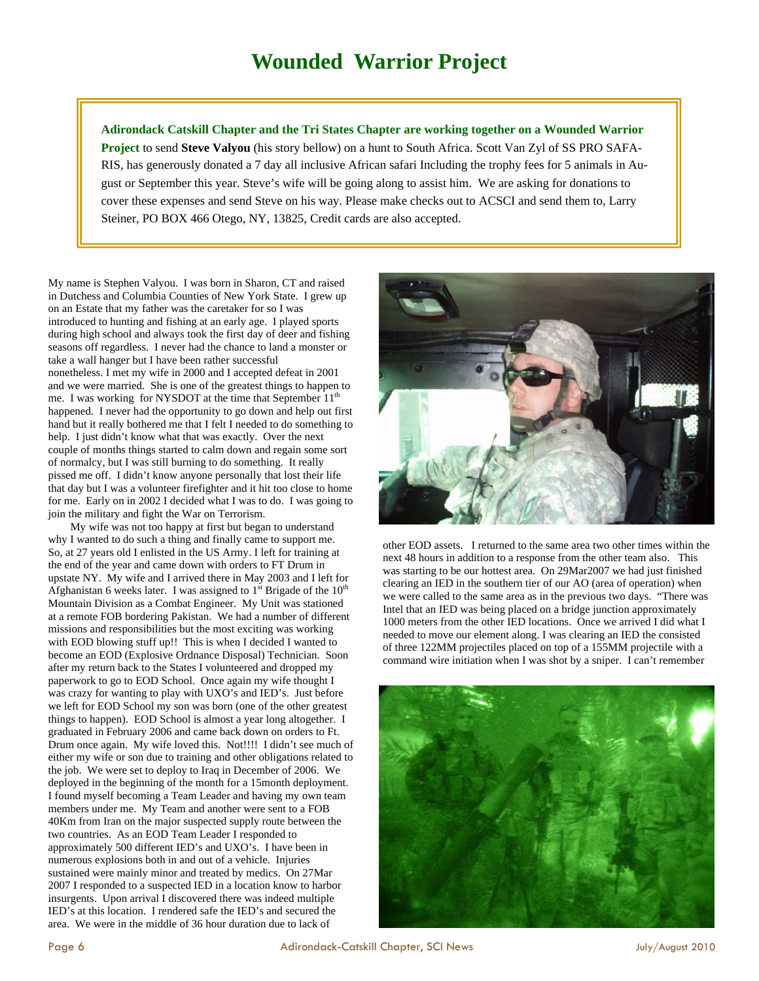**Adirondack Catskill Chapter and the Tri States Chapter are working together on a Wounded Warrior Project** to send **Steve Valyou** (his story bellow) on a hunt to South Africa. Scott Van Zyl of SS PRO SAFA-RIS, has generously donated a 7 day all inclusive African safari Including the trophy fees for 5 animals in August or September this year. Steve's wife will be going along to assist him. We are asking for donations to cover these expenses and send Steve on his way. Please make checks out to ACSCI and send them to, Larry Steiner, PO BOX 466 Otego, NY, 13825, Credit cards are also accepted.

My name is Stephen Valyou. I was born in Sharon, CT and raised in Dutchess and Columbia Counties of New York State. I grew up on an Estate that my father was the caretaker for so I was introduced to hunting and fishing at an early age. I played sports during high school and always took the first day of deer and fishing seasons off regardless. I never had the chance to land a monster or take a wall hanger but I have been rather successful nonetheless. I met my wife in 2000 and I accepted defeat in 2001 and we were married. She is one of the greatest things to happen to me. I was working for NYSDOT at the time that September 11<sup>th</sup> happened. I never had the opportunity to go down and help out first hand but it really bothered me that I felt I needed to do something to help. I just didn't know what that was exactly. Over the next couple of months things started to calm down and regain some sort of normalcy, but I was still burning to do something. It really pissed me off. I didn't know anyone personally that lost their life that day but I was a volunteer firefighter and it hit too close to home for me. Early on in 2002 I decided what I was to do. I was going to join the military and fight the War on Terrorism.

 My wife was not too happy at first but began to understand why I wanted to do such a thing and finally came to support me. So, at 27 years old I enlisted in the US Army. I left for training at the end of the year and came down with orders to FT Drum in upstate NY. My wife and I arrived there in May 2003 and I left for Afghanistan 6 weeks later. I was assigned to  $1<sup>st</sup>$  Brigade of the  $10<sup>th</sup>$ Mountain Division as a Combat Engineer. My Unit was stationed at a remote FOB bordering Pakistan. We had a number of different missions and responsibilities but the most exciting was working with EOD blowing stuff up!! This is when I decided I wanted to become an EOD (Explosive Ordnance Disposal) Technician. Soon after my return back to the States I volunteered and dropped my paperwork to go to EOD School. Once again my wife thought I was crazy for wanting to play with UXO's and IED's. Just before we left for EOD School my son was born (one of the other greatest things to happen). EOD School is almost a year long altogether. I graduated in February 2006 and came back down on orders to Ft. Drum once again. My wife loved this. Not!!!! I didn't see much of either my wife or son due to training and other obligations related to the job. We were set to deploy to Iraq in December of 2006. We deployed in the beginning of the month for a 15month deployment. I found myself becoming a Team Leader and having my own team members under me. My Team and another were sent to a FOB 40Km from Iran on the major suspected supply route between the two countries. As an EOD Team Leader I responded to approximately 500 different IED's and UXO's. I have been in numerous explosions both in and out of a vehicle. Injuries sustained were mainly minor and treated by medics. On 27Mar 2007 I responded to a suspected IED in a location know to harbor insurgents. Upon arrival I discovered there was indeed multiple IED's at this location. I rendered safe the IED's and secured the area. We were in the middle of 36 hour duration due to lack of



other EOD assets. I returned to the same area two other times within the next 48 hours in addition to a response from the other team also. This was starting to be our hottest area. On 29Mar2007 we had just finished clearing an IED in the southern tier of our AO (area of operation) when we were called to the same area as in the previous two days. "There was Intel that an IED was being placed on a bridge junction approximately 1000 meters from the other IED locations. Once we arrived I did what I needed to move our element along. I was clearing an IED the consisted of three 122MM projectiles placed on top of a 155MM projectile with a command wire initiation when I was shot by a sniper. I can't remember

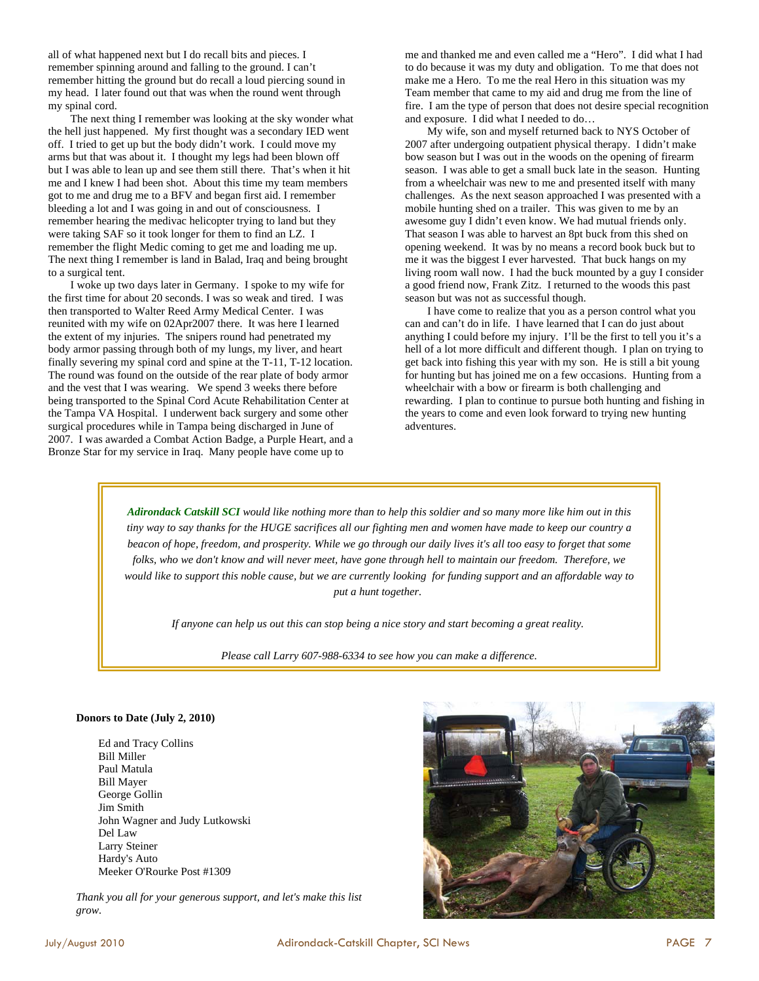all of what happened next but I do recall bits and pieces. I remember spinning around and falling to the ground. I can't remember hitting the ground but do recall a loud piercing sound in my head. I later found out that was when the round went through my spinal cord.

 The next thing I remember was looking at the sky wonder what the hell just happened. My first thought was a secondary IED went off. I tried to get up but the body didn't work. I could move my arms but that was about it. I thought my legs had been blown off but I was able to lean up and see them still there. That's when it hit me and I knew I had been shot. About this time my team members got to me and drug me to a BFV and began first aid. I remember bleeding a lot and I was going in and out of consciousness. I remember hearing the medivac helicopter trying to land but they were taking SAF so it took longer for them to find an LZ. I remember the flight Medic coming to get me and loading me up. The next thing I remember is land in Balad, Iraq and being brought to a surgical tent.

 I woke up two days later in Germany. I spoke to my wife for the first time for about 20 seconds. I was so weak and tired. I was then transported to Walter Reed Army Medical Center. I was reunited with my wife on 02Apr2007 there. It was here I learned the extent of my injuries. The snipers round had penetrated my body armor passing through both of my lungs, my liver, and heart finally severing my spinal cord and spine at the T-11, T-12 location. The round was found on the outside of the rear plate of body armor and the vest that I was wearing. We spend 3 weeks there before being transported to the Spinal Cord Acute Rehabilitation Center at the Tampa VA Hospital. I underwent back surgery and some other surgical procedures while in Tampa being discharged in June of 2007. I was awarded a Combat Action Badge, a Purple Heart, and a Bronze Star for my service in Iraq. Many people have come up to

me and thanked me and even called me a "Hero". I did what I had to do because it was my duty and obligation. To me that does not make me a Hero. To me the real Hero in this situation was my Team member that came to my aid and drug me from the line of fire. I am the type of person that does not desire special recognition and exposure. I did what I needed to do…

 My wife, son and myself returned back to NYS October of 2007 after undergoing outpatient physical therapy. I didn't make bow season but I was out in the woods on the opening of firearm season. I was able to get a small buck late in the season. Hunting from a wheelchair was new to me and presented itself with many challenges. As the next season approached I was presented with a mobile hunting shed on a trailer. This was given to me by an awesome guy I didn't even know. We had mutual friends only. That season I was able to harvest an 8pt buck from this shed on opening weekend. It was by no means a record book buck but to me it was the biggest I ever harvested. That buck hangs on my living room wall now. I had the buck mounted by a guy I consider a good friend now, Frank Zitz. I returned to the woods this past season but was not as successful though.

 I have come to realize that you as a person control what you can and can't do in life. I have learned that I can do just about anything I could before my injury. I'll be the first to tell you it's a hell of a lot more difficult and different though. I plan on trying to get back into fishing this year with my son. He is still a bit young for hunting but has joined me on a few occasions. Hunting from a wheelchair with a bow or firearm is both challenging and rewarding. I plan to continue to pursue both hunting and fishing in the years to come and even look forward to trying new hunting adventures.

*Adirondack Catskill SCI would like nothing more than to help this soldier and so many more like him out in this tiny way to say thanks for the HUGE sacrifices all our fighting men and women have made to keep our country a beacon of hope, freedom, and prosperity. While we go through our daily lives it's all too easy to forget that some folks, who we don't know and will never meet, have gone through hell to maintain our freedom. Therefore, we would like to support this noble cause, but we are currently looking for funding support and an affordable way to put a hunt together.* 

*If anyone can help us out this can stop being a nice story and start becoming a great reality.* 

*Please call Larry 607-988-6334 to see how you can make a difference.* 

#### **Donors to Date (July 2, 2010)**

Ed and Tracy Collins Bill Miller Paul Matula Bill Mayer George Gollin Jim Smith John Wagner and Judy Lutkowski Del Law Larry Steiner Hardy's Auto Meeker O'Rourke Post #1309

*Thank you all for your generous support, and let's make this list grow.*